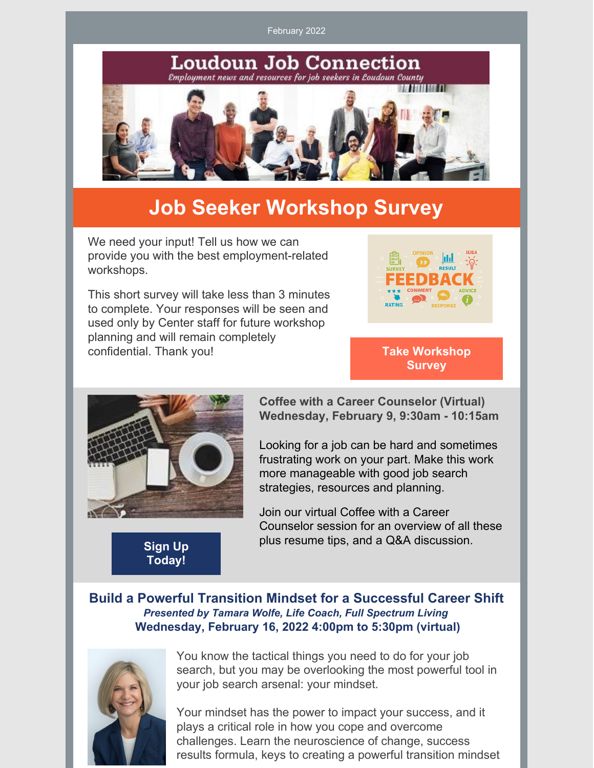February 2022



# **Job Seeker Workshop Survey**

We need your input! Tell us how we can provide you with the best employment-related workshops.

This short survey will take less than 3 minutes to complete. Your responses will be seen and used only by Center staff for future workshop planning and will remain completely **Confidential. Thank you! Take [Workshop](https://www.surveymonkey.com/r/YWC973Q)** 



**Survey**



**Sign Up [Today!](https://www.signupgenius.com/go/9040945ACA723A0FD0-coffee10)**

**Coffee with a Career Counselor (Virtual) Wednesday, February 9, 9:30am - 10:15am**

Looking for a job can be hard and sometimes frustrating work on your part. Make this work more manageable with good job search strategies, resources and planning.

Join our virtual Coffee with a Career Counselor session for an overview of all these plus resume tips, and a Q&A discussion.

### **Build a Powerful Transition Mindset for a Successful Career Shift** *Presented by Tamara Wolfe, Life Coach, Full Spectrum Living* **Wednesday, February 16, 2022 4:00pm to 5:30pm (virtual)**



You know the tactical things you need to do for your job search, but you may be overlooking the most powerful tool in your job search arsenal: your mindset.

Your mindset has the power to impact your success, and it plays a critical role in how you cope and overcome challenges. Learn the neuroscience of change, success results formula, keys to creating a powerful transition mindset